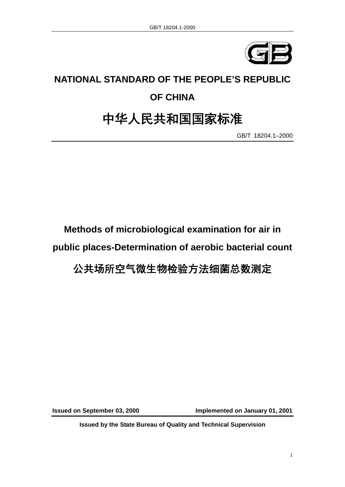

# **NATIONAL STANDARD OF THE PEOPLE'S REPUBLIC OF CHINA**

## 中华人民共和国国家标准

GB/T 18204.1–2000

**Methods of microbiological examination for air in public places-Determination of aerobic bacterial count** 

### 公共场所空气微生物检验方法细菌总数测定

**Issued on September 03, 2000 Implemented on January 01, 2001** 

**Issued by the State Bureau of Quality and Technical Supervision**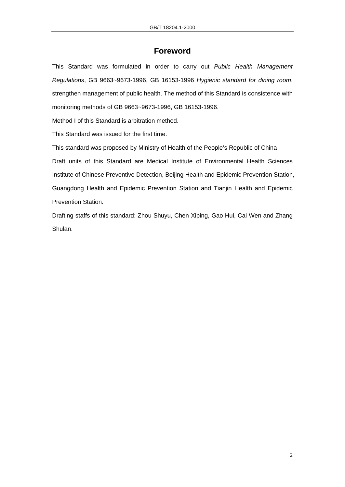### **Foreword**

This Standard was formulated in order to carry out *Public Health Management Regulations*, GB 9663~9673-1996, GB 16153-1996 *Hygienic standard for dining room*, strengthen management of public health. The method of this Standard is consistence with monitoring methods of GB 9663~9673-1996, GB 16153-1996.

Method I of this Standard is arbitration method.

This Standard was issued for the first time.

This standard was proposed by Ministry of Health of the People's Republic of China Draft units of this Standard are Medical Institute of Environmental Health Sciences Institute of Chinese Preventive Detection, Beijing Health and Epidemic Prevention Station, Guangdong Health and Epidemic Prevention Station and Tianjin Health and Epidemic Prevention Station.

Drafting staffs of this standard: Zhou Shuyu, Chen Xiping, Gao Hui, Cai Wen and Zhang Shulan.